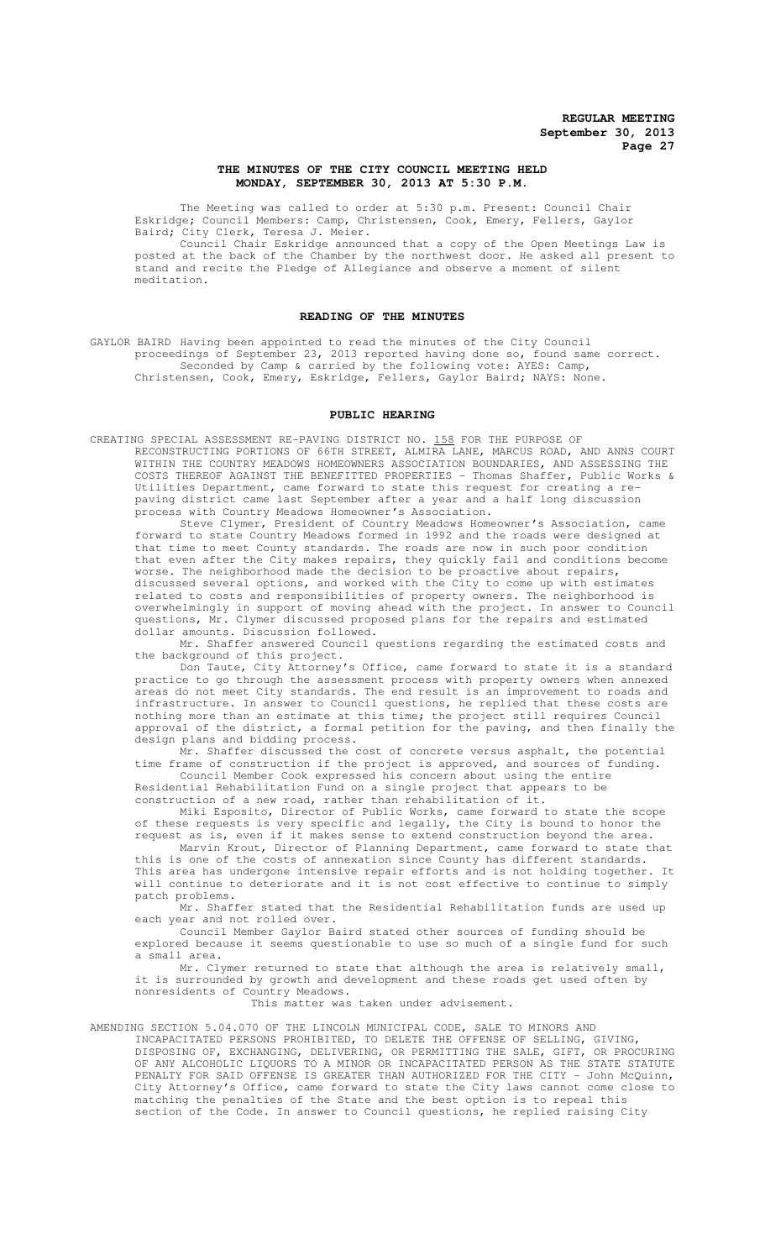### **THE MINUTES OF THE CITY COUNCIL MEETING HELD MONDAY, SEPTEMBER 30, 2013 AT 5:30 P.M.**

The Meeting was called to order at 5:30 p.m. Present: Council Chair Eskridge; Council Members: Camp, Christensen, Cook, Emery, Fellers, Gaylor Baird; City Clerk, Teresa J. Meier.

Council Chair Eskridge announced that a copy of the Open Meetings Law is posted at the back of the Chamber by the northwest door. He asked all present to stand and recite the Pledge of Allegiance and observe a moment of silent meditation.

## **READING OF THE MINUTES**

GAYLOR BAIRD Having been appointed to read the minutes of the City Council proceedings of September 23, 2013 reported having done so, found same correct. Seconded by Camp & carried by the following vote: AYES: Camp, Christensen, Cook, Emery, Eskridge, Fellers, Gaylor Baird; NAYS: None.

# **PUBLIC HEARING**

CREATING SPECIAL ASSESSMENT RE-PAVING DISTRICT NO. 158 FOR THE PURPOSE OF RECONSTRUCTING PORTIONS OF 66TH STREET, ALMIRA LANE, MARCUS ROAD, AND ANNS COURT WITHIN THE COUNTRY MEADOWS HOMEOWNERS ASSOCIATION BOUNDARIES, AND ASSESSING THE COSTS THEREOF AGAINST THE BENEFITTED PROPERTIES - Thomas Shaffer, Public Works & Utilities Department, came forward to state this request for creating a repaving district came last September after a year and a half long discussion process with Country Meadows Homeowner's Association.

Steve Clymer, President of Country Meadows Homeowner's Association, came forward to state Country Meadows formed in 1992 and the roads were designed at that time to meet County standards. The roads are now in such poor condition that even after the City makes repairs, they quickly fail and conditions become worse. The neighborhood made the decision to be proactive about repairs, discussed several options, and worked with the City to come up with estimates related to costs and responsibilities of property owners. The neighborhood is overwhelmingly in support of moving ahead with the project. In answer to Council questions, Mr. Clymer discussed proposed plans for the repairs and estimated dollar amounts. Discussion followed.

Mr. Shaffer answered Council questions regarding the estimated costs and the background of this project.

Don Taute, City Attorney's Office, came forward to state it is a standard practice to go through the assessment process with property owners when annexed areas do not meet City standards. The end result is an improvement to roads and infrastructure. In answer to Council questions, he replied that these costs are nothing more than an estimate at this time; the project still requires Council approval of the district, a formal petition for the paving, and then finally the design plans and bidding process.

Mr. Shaffer discussed the cost of concrete versus asphalt, the potential<br>came of construction if the project is approved, and sources of funding. time frame of construction if the project is approved, and sources of Council Member Cook expressed his concern about using the entire

Residential Rehabilitation Fund on a single project that appears to be construction of a new road, rather than rehabilitation of it.

Miki Esposito, Director of Public Works, came forward to state the scope of these requests is very specific and legally, the City is bound to honor the request as is, even if it makes sense to extend construction beyond the area.

Marvin Krout, Director of Planning Department, came forward to state that this is one of the costs of annexation since County has different standards. This area has undergone intensive repair efforts and is not holding together. It will continue to deteriorate and it is not cost effective to continue to simply patch problems.

Mr. Shaffer stated that the Residential Rehabilitation funds are used up each year and not rolled over.

Council Member Gaylor Baird stated other sources of funding should be explored because it seems questionable to use so much of a single fund for such a small area.

Mr. Clymer returned to state that although the area is relatively small, it is surrounded by growth and development and these roads get used often by nonresidents of Country Meadows.

This matter was taken under advisement.

AMENDING SECTION 5.04.070 OF THE LINCOLN MUNICIPAL CODE, SALE TO MINORS AND INCAPACITATED PERSONS PROHIBITED, TO DELETE THE OFFENSE OF SELLING, GIVING, DISPOSING OF, EXCHANGING, DELIVERING, OR PERMITTING THE SALE, GIFT, OR PROCURING OF ANY ALCOHOLIC LIQUORS TO A MINOR OR INCAPACITATED PERSON AS THE STATE STATUTE PENALTY FOR SAID OFFENSE IS GREATER THAN AUTHORIZED FOR THE CITY - John McQuinn, City Attorney's Office, came forward to state the City laws cannot come close to matching the penalties of the State and the best option is to repeal this section of the Code. In answer to Council questions, he replied raising City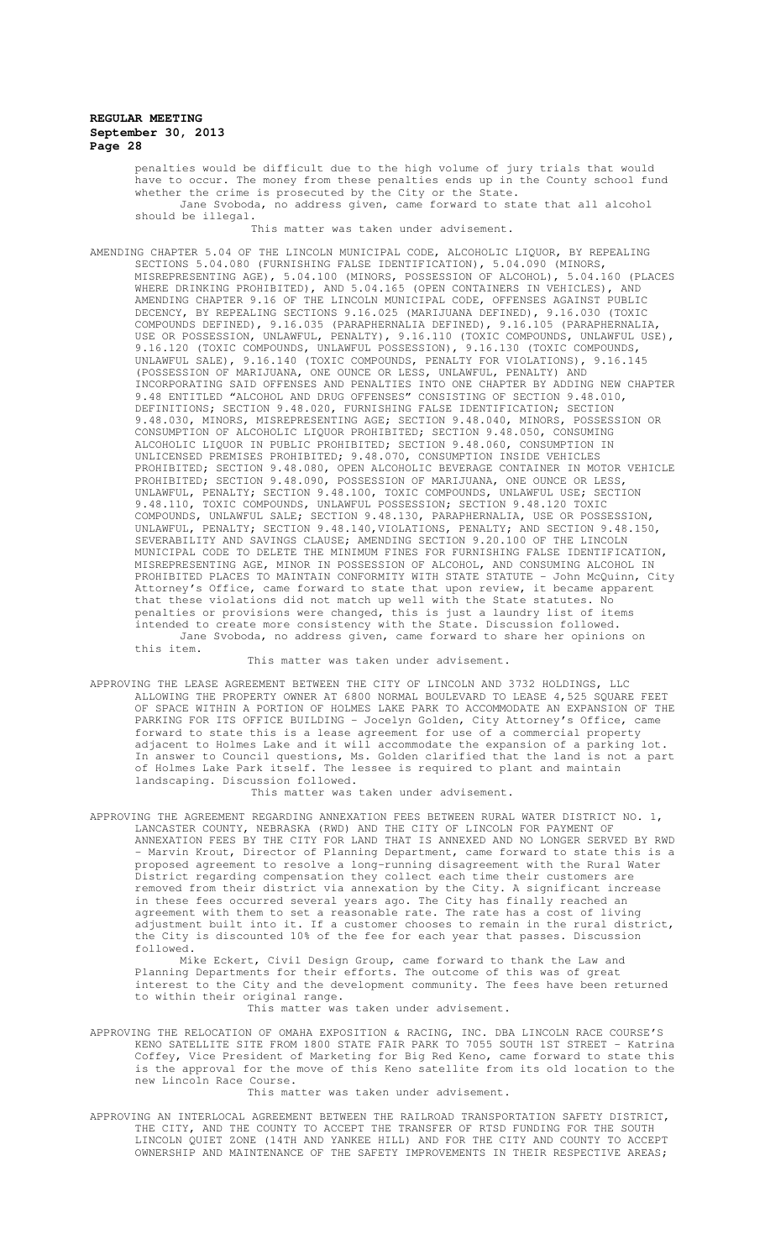penalties would be difficult due to the high volume of jury trials that would .<br>have to occur. The money from these penalties ends up in the County school fund whether the crime is prosecuted by the City or the State. Jane Svoboda, no address given, came forward to state that all alcohol should be illegal.

This matter was taken under advisement.

AMENDING CHAPTER 5.04 OF THE LINCOLN MUNICIPAL CODE, ALCOHOLIC LIQUOR, BY REPEALING SECTIONS 5.04.080 (FURNISHING FALSE IDENTIFICATION), 5.04.090 (MINORS, MISREPRESENTING AGE), 5.04.100 (MINORS, POSSESSION OF ALCOHOL), 5.04.160 (PLACES WHERE DRINKING PROHIBITED), AND 5.04.165 (OPEN CONTAINERS IN VEHICLES), AND AMENDING CHAPTER 9.16 OF THE LINCOLN MUNICIPAL CODE, OFFENSES AGAINST PUBLIC DECENCY, BY REPEALING SECTIONS 9.16.025 (MARIJUANA DEFINED), 9.16.030 (TOXIC COMPOUNDS DEFINED), 9.16.035 (PARAPHERNALIA DEFINED), 9.16.105 (PARAPHERNALIA, USE OR POSSESSION, UNLAWFUL, PENALTY), 9.16.110 (TOXIC COMPOUNDS, UNLAWFUL USE), 9.16.120 (TOXIC COMPOUNDS, UNLAWFUL POSSESSION), 9.16.130 (TOXIC COMPOUNDS, UNLAWFUL SALE), 9.16.140 (TOXIC COMPOUNDS, PENALTY FOR VIOLATIONS), 9.16.145 (POSSESSION OF MARIJUANA, ONE OUNCE OR LESS, UNLAWFUL, PENALTY) AND INCORPORATING SAID OFFENSES AND PENALTIES INTO ONE CHAPTER BY ADDING NEW CHAPTER 9.48 ENTITLED "ALCOHOL AND DRUG OFFENSES" CONSISTING OF SECTION 9.48.010, DEFINITIONS; SECTION 9.48.020, FURNISHING FALSE IDENTIFICATION; SECTION 9.48.030, MINORS, MISREPRESENTING AGE; SECTION 9.48.040, MINORS, POSSESSION OR CONSUMPTION OF ALCOHOLIC LIQUOR PROHIBITED; SECTION 9.48.050, CONSUMING ALCOHOLIC LIQUOR IN PUBLIC PROHIBITED; SECTION 9.48.060, CONSUMPTION IN UNLICENSED PREMISES PROHIBITED; 9.48.070, CONSUMPTION INSIDE VEHICLES PROHIBITED; SECTION 9.48.080, OPEN ALCOHOLIC BEVERAGE CONTAINER IN MOTOR VEHICLE PROHIBITED; SECTION 9.48.090, POSSESSION OF MARIJUANA, ONE OUNCE OR LESS, UNLAWFUL, PENALTY; SECTION 9.48.100, TOXIC COMPOUNDS, UNLAWFUL USE; SECTION 9.48.110, TOXIC COMPOUNDS, UNLAWFUL POSSESSION; SECTION 9.48.120 TOXIC COMPOUNDS, UNLAWFUL SALE; SECTION 9.48.130, PARAPHERNALIA, USE OR POSSESSION, UNLAWFUL, PENALTY; SECTION 9.48.140,VIOLATIONS, PENALTY; AND SECTION 9.48.150, SEVERABILITY AND SAVINGS CLAUSE; AMENDING SECTION 9.20.100 OF THE LINCOLN MUNICIPAL CODE TO DELETE THE MINIMUM FINES FOR FURNISHING FALSE IDENTIFICATION, MISREPRESENTING AGE, MINOR IN POSSESSION OF ALCOHOL, AND CONSUMING ALCOHOL IN PROHIBITED PLACES TO MAINTAIN CONFORMITY WITH STATE STATUTE - John McQuinn, City Attorney's Office, came forward to state that upon review, it became apparent that these violations did not match up well with the State statutes. No penalties or provisions were changed, this is just a laundry list of items intended to create more consistency with the State. Discussion followed. Jane Svoboda, no address given, came forward to share her opinions on this item.

This matter was taken under advisement.

APPROVING THE LEASE AGREEMENT BETWEEN THE CITY OF LINCOLN AND 3732 HOLDINGS, LLC ALLOWING THE PROPERTY OWNER AT 6800 NORMAL BOULEVARD TO LEASE 4,525 SQUARE FEET OF SPACE WITHIN A PORTION OF HOLMES LAKE PARK TO ACCOMMODATE AN EXPANSION OF THE PARKING FOR ITS OFFICE BUILDING - Jocelyn Golden, City Attorney's Office, came forward to state this is a lease agreement for use of a commercial property adjacent to Holmes Lake and it will accommodate the expansion of a parking lot. In answer to Council questions, Ms. Golden clarified that the land is not a part of Holmes Lake Park itself. The lessee is required to plant and maintain landscaping. Discussion followed.

This matter was taken under advisement.

APPROVING THE AGREEMENT REGARDING ANNEXATION FEES BETWEEN RURAL WATER DISTRICT NO. 1, LANCASTER COUNTY, NEBRASKA (RWD) AND THE CITY OF LINCOLN FOR PAYMENT OF ANNEXATION FEES BY THE CITY FOR LAND THAT IS ANNEXED AND NO LONGER SERVED BY RWD - Marvin Krout, Director of Planning Department, came forward to state this is a proposed agreement to resolve a long-running disagreement with the Rural Water District regarding compensation they collect each time their customers are removed from their district via annexation by the City. A significant increase in these fees occurred several years ago. The City has finally reached an agreement with them to set a reasonable rate. The rate has a cost of living adjustment built into it. If a customer chooses to remain in the rural district, the City is discounted 10% of the fee for each year that passes. Discussion followed.

Mike Eckert, Civil Design Group, came forward to thank the Law and Planning Departments for their efforts. The outcome of this was of great interest to the City and the development community. The fees have been returned to within their original range.

This matter was taken under advisement.

APPROVING THE RELOCATION OF OMAHA EXPOSITION & RACING, INC. DBA LINCOLN RACE COURSE'S KENO SATELLITE SITE FROM 1800 STATE FAIR PARK TO 7055 SOUTH 1ST STREET - Katrina Coffey, Vice President of Marketing for Big Red Keno, came forward to state this is the approval for the move of this Keno satellite from its old location to the new Lincoln Race Course.

This matter was taken under advisement.

APPROVING AN INTERLOCAL AGREEMENT BETWEEN THE RAILROAD TRANSPORTATION SAFETY DISTRICT, THE CITY, AND THE COUNTY TO ACCEPT THE TRANSFER OF RTSD FUNDING FOR THE SOUTH LINCOLN QUIET ZONE (14TH AND YANKEE HILL) AND FOR THE CITY AND COUNTY TO ACCEPT OWNERSHIP AND MAINTENANCE OF THE SAFETY IMPROVEMENTS IN THEIR RESPECTIVE AREAS;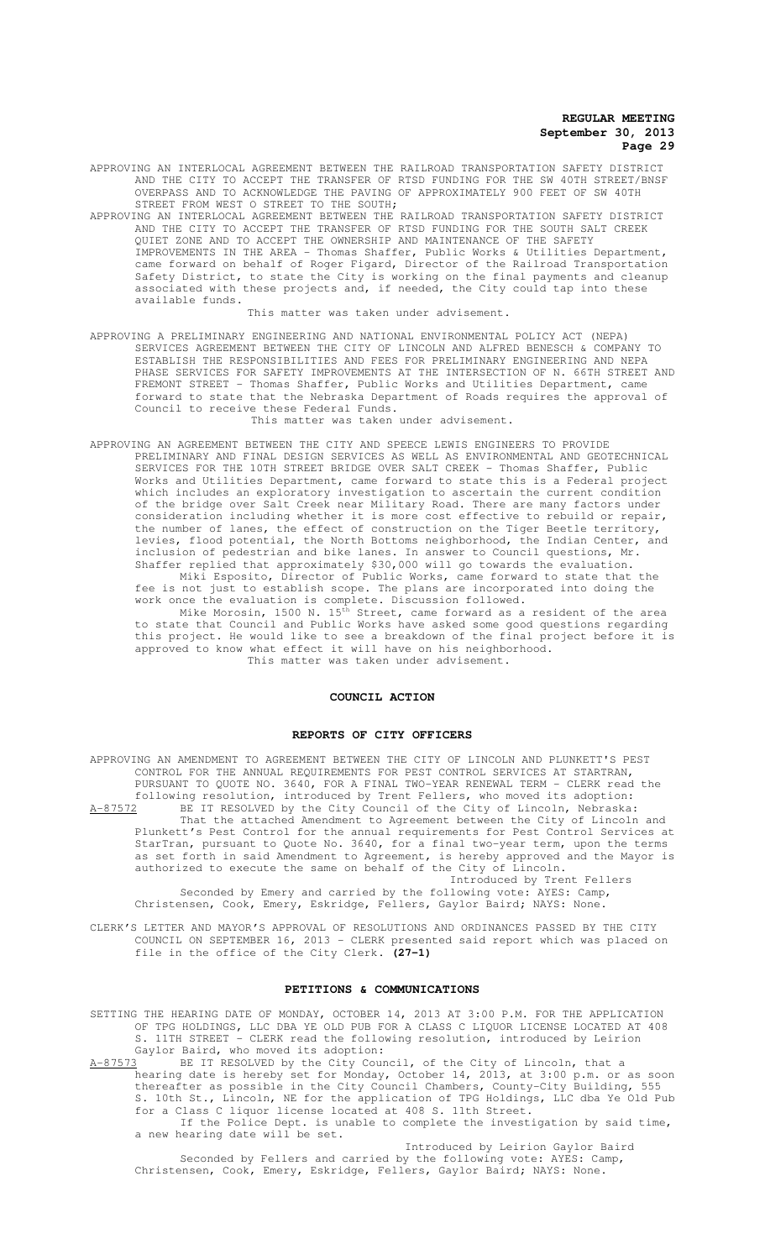APPROVING AN INTERLOCAL AGREEMENT BETWEEN THE RAILROAD TRANSPORTATION SAFETY DISTRICT AND THE CITY TO ACCEPT THE TRANSFER OF RTSD FUNDING FOR THE SW 40TH STREET/BNSF OVERPASS AND TO ACKNOWLEDGE THE PAVING OF APPROXIMATELY 900 FEET OF SW 40TH STREET FROM WEST O STREET TO THE SOUTH;

APPROVING AN INTERLOCAL AGREEMENT BETWEEN THE RAILROAD TRANSPORTATION SAFETY DISTRICT AND THE CITY TO ACCEPT THE TRANSFER OF RTSD FUNDING FOR THE SOUTH SALT CREEK QUIET ZONE AND TO ACCEPT THE OWNERSHIP AND MAINTENANCE OF THE SAFETY IMPROVEMENTS IN THE AREA - Thomas Shaffer, Public Works & Utilities Department, came forward on behalf of Roger Figard, Director of the Railroad Transportation Safety District, to state the City is working on the final payments and cleanup associated with these projects and, if needed, the City could tap into these available funds.

This matter was taken under advisement.

- APPROVING A PRELIMINARY ENGINEERING AND NATIONAL ENVIRONMENTAL POLICY ACT (NEPA) SERVICES AGREEMENT BETWEEN THE CITY OF LINCOLN AND ALFRED BENESCH & COMPANY TO ESTABLISH THE RESPONSIBILITIES AND FEES FOR PRELIMINARY ENGINEERING AND NEPA PHASE SERVICES FOR SAFETY IMPROVEMENTS AT THE INTERSECTION OF N. 66TH STREET AND FREMONT STREET - Thomas Shaffer, Public Works and Utilities Department, came forward to state that the Nebraska Department of Roads requires the approval of Council to receive these Federal Funds. This matter was taken under advisement.
- APPROVING AN AGREEMENT BETWEEN THE CITY AND SPEECE LEWIS ENGINEERS TO PROVIDE PRELIMINARY AND FINAL DESIGN SERVICES AS WELL AS ENVIRONMENTAL AND GEOTECHNICAL SERVICES FOR THE 10TH STREET BRIDGE OVER SALT CREEK - Thomas Shaffer, Public Works and Utilities Department, came forward to state this is a Federal project which includes an exploratory investigation to ascertain the current condition of the bridge over Salt Creek near Military Road. There are many factors under consideration including whether it is more cost effective to rebuild or repair, the number of lanes, the effect of construction on the Tiger Beetle territory, levies, flood potential, the North Bottoms neighborhood, the Indian Center, and inclusion of pedestrian and bike lanes. In answer to Council questions, Mr. Shaffer replied that approximately \$30,000 will go towards the evaluation. Miki Esposito, Director of Public Works, came forward to state that the

fee is not just to establish scope. The plans are incorporated into doing the work once the evaluation is complete. Discussion followed.

Mike Morosin, 1500 N. 15th Street, came forward as a resident of the area to state that Council and Public Works have asked some good questions regarding this project. He would like to see a breakdown of the final project before it is approved to know what effect it will have on his neighborhood. This matter was taken under advisement.

# **COUNCIL ACTION**

#### **REPORTS OF CITY OFFICERS**

APPROVING AN AMENDMENT TO AGREEMENT BETWEEN THE CITY OF LINCOLN AND PLUNKETT'S PEST CONTROL FOR THE ANNUAL REQUIREMENTS FOR PEST CONTROL SERVICES AT STARTRAN, PURSUANT TO QUOTE NO. 3640, FOR A FINAL TWO-YEAR RENEWAL TERM - CLERK read the following resolution, introduced by Trent Fellers, who moved its adoption: A-87572 BE IT RESOLVED by the City Council of the City of Lincoln, Nebraska: That the attached Amendment to Agreement between the City of Lincoln and Plunkett's Pest Control for the annual requirements for Pest Control Services at StarTran, pursuant to Quote No. 3640, for a final two-year term, upon the terms as set forth in said Amendment to Agreement, is hereby approved and the Mayor is authorized to execute the same on behalf of the City of Lincoln. Introduced by Trent Fellers Seconded by Emery and carried by the following vote: AYES: Camp,

Christensen, Cook, Emery, Eskridge, Fellers, Gaylor Baird; NAYS: None.

CLERK'S LETTER AND MAYOR'S APPROVAL OF RESOLUTIONS AND ORDINANCES PASSED BY THE CITY COUNCIL ON SEPTEMBER 16, 2013 - CLERK presented said report which was placed on file in the office of the City Clerk. **(27-1)**

## **PETITIONS & COMMUNICATIONS**

SETTING THE HEARING DATE OF MONDAY, OCTOBER 14, 2013 AT 3:00 P.M. FOR THE APPLICATION OF TPG HOLDINGS, LLC DBA YE OLD PUB FOR A CLASS C LIQUOR LICENSE LOCATED AT 408 S. 11TH STREET - CLERK read the following resolution, introduced by Leirion Gaylor Baird, who moved its adoption:<br>A-87573 BE IT RESOLVED by the City Cour

BE IT RESOLVED by the City Council, of the City of Lincoln, that a hearing date is hereby set for Monday, October 14, 2013, at 3:00 p.m. or as soon thereafter as possible in the City Council Chambers, County-City Building, 555 S. 10th St., Lincoln, NE for the application of TPG Holdings, LLC dba Ye Old Pub for a Class C liquor license located at 408 S. 11th Street. If the Police Dept. is unable to complete the investigation by said time, a new hearing date will be set.

Introduced by Leirion Gaylor Baird Seconded by Fellers and carried by the following vote: AYES: Camp, Christensen, Cook, Emery, Eskridge, Fellers, Gaylor Baird; NAYS: None.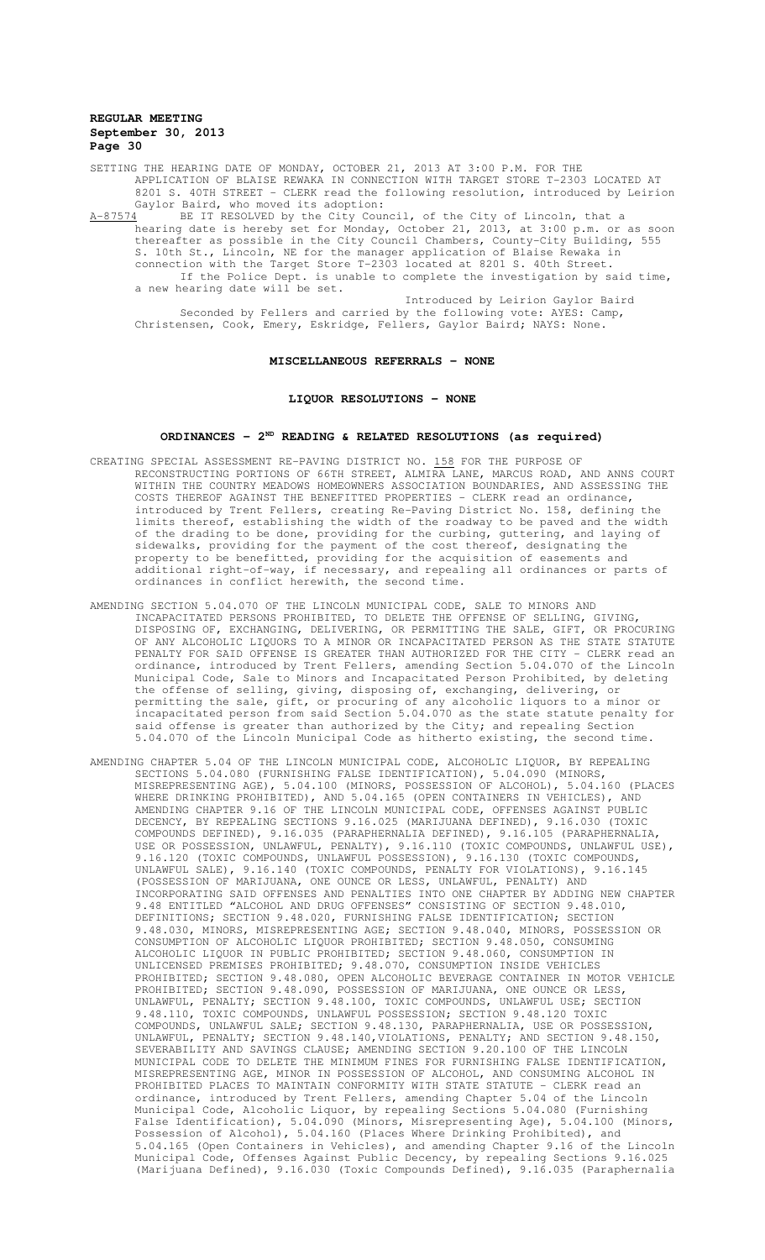SETTING THE HEARING DATE OF MONDAY, OCTOBER 21, 2013 AT 3:00 P.M. FOR THE APPLICATION OF BLAISE REWAKA IN CONNECTION WITH TARGET STORE T-2303 LOCATED AT 8201 S. 40TH STREET - CLERK read the following resolution, introduced by Leirion Gaylor Baird, who moved its adoption:<br>A-87574 BE IT RESOLVED by the City Cour

A-87574 BE IT RESOLVED by the City Council, of the City of Lincoln, that a hearing date is hereby set for Monday, October 21, 2013, at 3:00 p.m. or as soon thereafter as possible in the City Council Chambers, County-City Building, 555 S. 10th St., Lincoln, NE for the manager application of Blaise Rewaka in connection with the Target Store T-2303 located at 8201 S. 40th Street. If the Police Dept. is unable to complete the investigation by said time, a new hearing date will be set.

Introduced by Leirion Gaylor Baird Seconded by Fellers and carried by the following vote: AYES: Camp, Christensen, Cook, Emery, Eskridge, Fellers, Gaylor Baird; NAYS: None.

### **MISCELLANEOUS REFERRALS - NONE**

### **LIQUOR RESOLUTIONS - NONE**

### **ORDINANCES - 2ND READING & RELATED RESOLUTIONS (as required)**

- CREATING SPECIAL ASSESSMENT RE-PAVING DISTRICT NO. 158 FOR THE PURPOSE OF RECONSTRUCTING PORTIONS OF 66TH STREET, ALMIRA LANE, MARCUS ROAD, AND ANNS COURT WITHIN THE COUNTRY MEADOWS HOMEOWNERS ASSOCIATION BOUNDARIES, AND ASSESSING THE COSTS THEREOF AGAINST THE BENEFITTED PROPERTIES - CLERK read an ordinance, introduced by Trent Fellers, creating Re-Paving District No. 158, defining the limits thereof, establishing the width of the roadway to be paved and the width of the drading to be done, providing for the curbing, guttering, and laying of sidewalks, providing for the payment of the cost thereof, designating the property to be benefitted, providing for the acquisition of easements and additional right-of-way, if necessary, and repealing all ordinances or parts of ordinances in conflict herewith, the second time.
- AMENDING SECTION 5.04.070 OF THE LINCOLN MUNICIPAL CODE, SALE TO MINORS AND INCAPACITATED PERSONS PROHIBITED, TO DELETE THE OFFENSE OF SELLING, GIVING, DISPOSING OF, EXCHANGING, DELIVERING, OR PERMITTING THE SALE, GIFT, OR PROCURING OF ANY ALCOHOLIC LIQUORS TO A MINOR OR INCAPACITATED PERSON AS THE STATE STATUTE PENALTY FOR SAID OFFENSE IS GREATER THAN AUTHORIZED FOR THE CITY - CLERK read an ordinance, introduced by Trent Fellers, amending Section 5.04.070 of the Lincoln Municipal Code, Sale to Minors and Incapacitated Person Prohibited, by deleting the offense of selling, giving, disposing of, exchanging, delivering, or permitting the sale, gift, or procuring of any alcoholic liquors to a minor or incapacitated person from said Section 5.04.070 as the state statute penalty for said offense is greater than authorized by the City; and repealing Section 5.04.070 of the Lincoln Municipal Code as hitherto existing, the second time.
- AMENDING CHAPTER 5.04 OF THE LINCOLN MUNICIPAL CODE, ALCOHOLIC LIQUOR, BY REPEALING SECTIONS 5.04.080 (FURNISHING FALSE IDENTIFICATION), 5.04.090 (MINORS, MISREPRESENTING AGE), 5.04.100 (MINORS, POSSESSION OF ALCOHOL), 5.04.160 (PLACES WHERE DRINKING PROHIBITED), AND 5.04.165 (OPEN CONTAINERS IN VEHICLES), AND AMENDING CHAPTER 9.16 OF THE LINCOLN MUNICIPAL CODE, OFFENSES AGAINST PUBLIC DECENCY, BY REPEALING SECTIONS 9.16.025 (MARIJUANA DEFINED), 9.16.030 (TOXIC COMPOUNDS DEFINED), 9.16.035 (PARAPHERNALIA DEFINED), 9.16.105 (PARAPHERNALIA, USE OR POSSESSION, UNLAWFUL, PENALTY), 9.16.110 (TOXIC COMPOUNDS, UNLAWFUL USE), 9.16.120 (TOXIC COMPOUNDS, UNLAWFUL POSSESSION), 9.16.130 (TOXIC COMPOUNDS, UNLAWFUL SALE), 9.16.140 (TOXIC COMPOUNDS, PENALTY FOR VIOLATIONS), 9.16.145 (POSSESSION OF MARIJUANA, ONE OUNCE OR LESS, UNLAWFUL, PENALTY) AND INCORPORATING SAID OFFENSES AND PENALTIES INTO ONE CHAPTER BY ADDING NEW CHAPTER 9.48 ENTITLED "ALCOHOL AND DRUG OFFENSES" CONSISTING OF SECTION 9.48.010, DEFINITIONS; SECTION 9.48.020, FURNISHING FALSE IDENTIFICATION; SECTION 9.48.030, MINORS, MISREPRESENTING AGE; SECTION 9.48.040, MINORS, POSSESSION OR CONSUMPTION OF ALCOHOLIC LIQUOR PROHIBITED; SECTION 9.48.050, CONSUMING ALCOHOLIC LIQUOR IN PUBLIC PROHIBITED; SECTION 9.48.060, CONSUMPTION IN UNLICENSED PREMISES PROHIBITED; 9.48.070, CONSUMPTION INSIDE VEHICLES PROHIBITED; SECTION 9.48.080, OPEN ALCOHOLIC BEVERAGE CONTAINER IN MOTOR VEHICLE PROHIBITED; SECTION 9.48.090, POSSESSION OF MARIJUANA, ONE OUNCE OR LESS, UNLAWFUL, PENALTY; SECTION 9.48.100, TOXIC COMPOUNDS, UNLAWFUL USE; SECTION 9.48.110, TOXIC COMPOUNDS, UNLAWFUL POSSESSION; SECTION 9.48.120 TOXIC COMPOUNDS, UNLAWFUL SALE; SECTION 9.48.130, PARAPHERNALIA, USE OR POSSESSION, UNLAWFUL, PENALTY; SECTION 9.48.140,VIOLATIONS, PENALTY; AND SECTION 9.48.150, SEVERABILITY AND SAVINGS CLAUSE; AMENDING SECTION 9.20.100 OF THE LINCOLN MUNICIPAL CODE TO DELETE THE MINIMUM FINES FOR FURNISHING FALSE IDENTIFICATION, MISREPRESENTING AGE, MINOR IN POSSESSION OF ALCOHOL, AND CONSUMING ALCOHOL IN PROHIBITED PLACES TO MAINTAIN CONFORMITY WITH STATE STATUTE - CLERK read an ordinance, introduced by Trent Fellers, amending Chapter 5.04 of the Lincoln Municipal Code, Alcoholic Liquor, by repealing Sections 5.04.080 (Furnishing False Identification), 5.04.090 (Minors, Misrepresenting Age), 5.04.100 (Minors, Possession of Alcohol), 5.04.160 (Places Where Drinking Prohibited), and 5.04.165 (Open Containers in Vehicles), and amending Chapter 9.16 of the Lincoln Municipal Code, Offenses Against Public Decency, by repealing Sections 9.16.025 (Marijuana Defined), 9.16.030 (Toxic Compounds Defined), 9.16.035 (Paraphernalia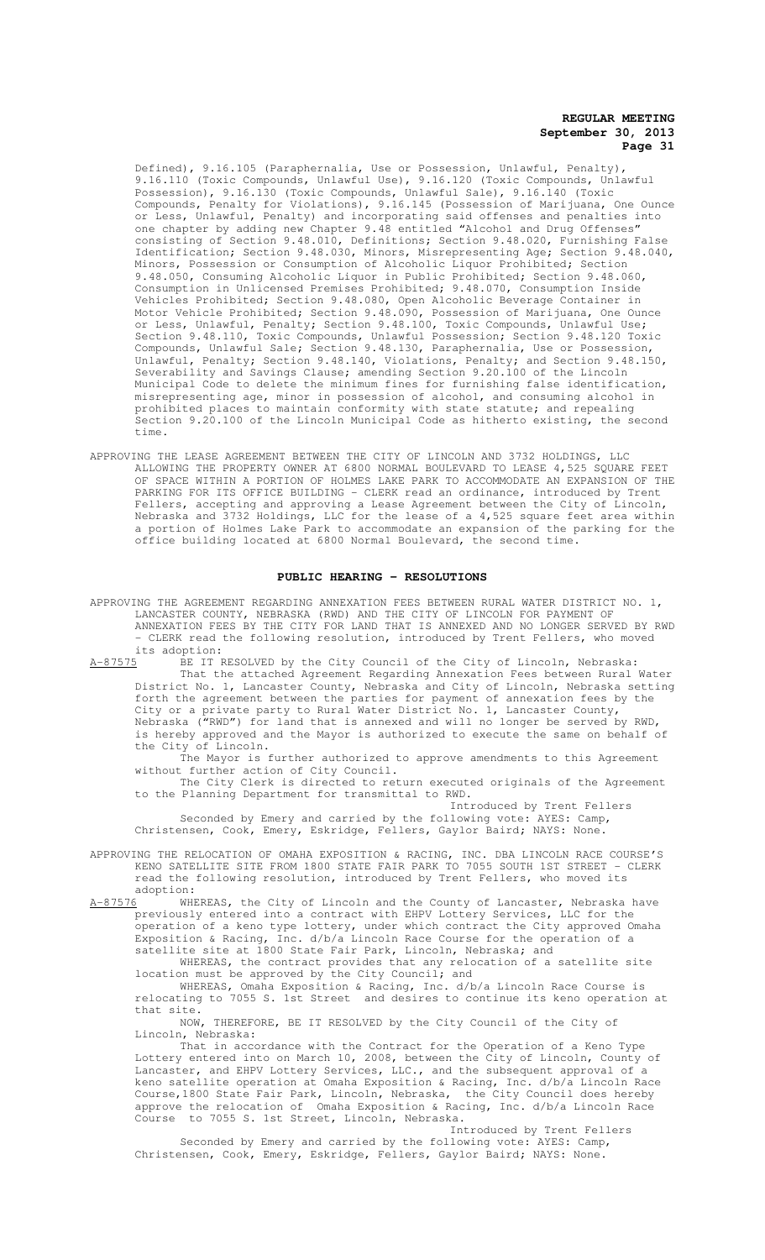Defined), 9.16.105 (Paraphernalia, Use or Possession, Unlawful, Penalty), 9.16.110 (Toxic Compounds, Unlawful Use), 9.16.120 (Toxic Compounds, Unlawful Possession), 9.16.130 (Toxic Compounds, Unlawful Sale), 9.16.140 (Toxic Compounds, Penalty for Violations), 9.16.145 (Possession of Marijuana, One Ounce or Less, Unlawful, Penalty) and incorporating said offenses and penalties into one chapter by adding new Chapter 9.48 entitled "Alcohol and Drug Offenses" consisting of Section 9.48.010, Definitions; Section 9.48.020, Furnishing False Identification; Section 9.48.030, Minors, Misrepresenting Age; Section 9.48.040, Minors, Possession or Consumption of Alcoholic Liquor Prohibited; Section 9.48.050, Consuming Alcoholic Liquor in Public Prohibited; Section 9.48.060, Consumption in Unlicensed Premises Prohibited; 9.48.070, Consumption Inside Vehicles Prohibited; Section 9.48.080, Open Alcoholic Beverage Container in Motor Vehicle Prohibited; Section 9.48.090, Possession of Marijuana, One Ounce or Less, Unlawful, Penalty; Section 9.48.100, Toxic Compounds, Unlawful Use; Section 9.48.110, Toxic Compounds, Unlawful Possession; Section 9.48.120 Toxic Compounds, Unlawful Sale; Section 9.48.130, Paraphernalia, Use or Possession, Unlawful, Penalty; Section 9.48.140, Violations, Penalty; and Section 9.48.150, Severability and Savings Clause; amending Section 9.20.100 of the Lincoln Municipal Code to delete the minimum fines for furnishing false identification, misrepresenting age, minor in possession of alcohol, and consuming alcohol in prohibited places to maintain conformity with state statute; and repealing Section 9.20.100 of the Lincoln Municipal Code as hitherto existing, the second time.

APPROVING THE LEASE AGREEMENT BETWEEN THE CITY OF LINCOLN AND 3732 HOLDINGS, LLC ALLOWING THE PROPERTY OWNER AT 6800 NORMAL BOULEVARD TO LEASE 4,525 SQUARE FEET OF SPACE WITHIN A PORTION OF HOLMES LAKE PARK TO ACCOMMODATE AN EXPANSION OF THE PARKING FOR ITS OFFICE BUILDING - CLERK read an ordinance, introduced by Trent Fellers, accepting and approving a Lease Agreement between the City of Lincoln, Nebraska and 3732 Holdings, LLC for the lease of a 4,525 square feet area within a portion of Holmes Lake Park to accommodate an expansion of the parking for the office building located at 6800 Normal Boulevard, the second time.

#### **PUBLIC HEARING - RESOLUTIONS**

APPROVING THE AGREEMENT REGARDING ANNEXATION FEES BETWEEN RURAL WATER DISTRICT NO. 1, LANCASTER COUNTY, NEBRASKA (RWD) AND THE CITY OF LINCOLN FOR PAYMENT OF ANNEXATION FEES BY THE CITY FOR LAND THAT IS ANNEXED AND NO LONGER SERVED BY RWD - CLERK read the following resolution, introduced by Trent Fellers, who moved its adoption:<br><u>A-87575</u> BE IT I BE IT RESOLVED by the City Council of the City of Lincoln, Nebraska:

That the attached Agreement Regarding Annexation Fees between Rural Water District No. 1, Lancaster County, Nebraska and City of Lincoln, Nebraska setting forth the agreement between the parties for payment of annexation fees by the City or a private party to Rural Water District No. 1, Lancaster County, Nebraska ("RWD") for land that is annexed and will no longer be served by RWD, is hereby approved and the Mayor is authorized to execute the same on behalf of the City of Lincoln.

The Mayor is further authorized to approve amendments to this Agreement without further action of City Council.

The City Clerk is directed to return executed originals of the Agreement to the Planning Department for transmittal to RWD.

Introduced by Trent Fellers Seconded by Emery and carried by the following vote: AYES: Camp, Christensen, Cook, Emery, Eskridge, Fellers, Gaylor Baird; NAYS: None.

APPROVING THE RELOCATION OF OMAHA EXPOSITION & RACING, INC. DBA LINCOLN RACE COURSE'S KENO SATELLITE SITE FROM 1800 STATE FAIR PARK TO 7055 SOUTH 1ST STREET - CLERK read the following resolution, introduced by Trent Fellers, who moved its

adoption:<br>A-87576 WHE WHEREAS, the City of Lincoln and the County of Lancaster, Nebraska have previously entered into a contract with EHPV Lottery Services, LLC for the operation of a keno type lottery, under which contract the City approved Omaha Exposition & Racing, Inc. d/b/a Lincoln Race Course for the operation of a satellite site at 1800 State Fair Park, Lincoln, Nebraska; and

WHEREAS, the contract provides that any relocation of a satellite site location must be approved by the City Council; and

WHEREAS, Omaha Exposition & Racing, Inc. d/b/a Lincoln Race Course is relocating to 7055 S. 1st Street and desires to continue its keno operation at that site.

NOW, THEREFORE, BE IT RESOLVED by the City Council of the City of Lincoln, Nebraska:

That in accordance with the Contract for the Operation of a Keno Type Lottery entered into on March 10, 2008, between the City of Lincoln, County of Lancaster, and EHPV Lottery Services, LLC., and the subsequent approval of a keno satellite operation at Omaha Exposition & Racing, Inc. d/b/a Lincoln Race Course,1800 State Fair Park, Lincoln, Nebraska, the City Council does hereby approve the relocation of Omaha Exposition & Racing, Inc. d/b/a Lincoln Race Course to 7055 S. 1st Street, Lincoln, Nebraska.

Introduced by Trent Fellers Seconded by Emery and carried by the following vote: AYES: Camp, Christensen, Cook, Emery, Eskridge, Fellers, Gaylor Baird; NAYS: None.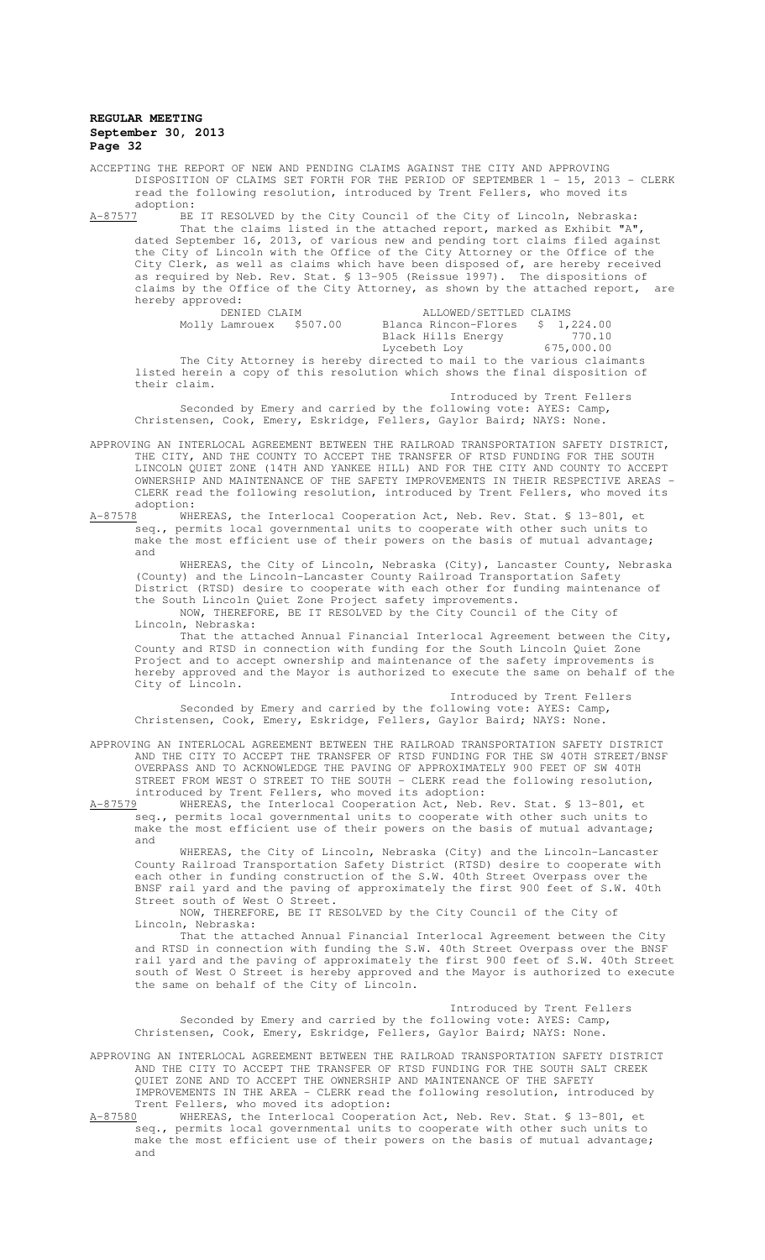ACCEPTING THE REPORT OF NEW AND PENDING CLAIMS AGAINST THE CITY AND APPROVING DISPOSITION OF CLAIMS SET FORTH FOR THE PERIOD OF SEPTEMBER 1 - 15, 2013 - CLERK read the following resolution, introduced by Trent Fellers, who moved its  $\frac{\text{adoption:}}{\text{A}-87577}$  BE

A-87577 BE IT RESOLVED by the City Council of the City of Lincoln, Nebraska: That the claims listed in the attached report, marked as Exhibit "A", dated September 16, 2013, of various new and pending tort claims filed against the City of Lincoln with the Office of the City Attorney or the Office of the City Clerk, as well as claims which have been disposed of, are hereby received as required by Neb. Rev. Stat. § 13-905 (Reissue 1997). The dispositions of claims by the Office of the City Attorney, as shown by the attached report, are hereby approved:<br>DENIED CLAIM

 DENIED CLAIM ALLOWED/SETTLED CLAIMS Blanca Rincon-Flores \$ 1,224.00<br>Black Hills Energy 770.10 Black Hills Energy 370.10 Lycebeth Loy 675,000.00 The City Attorney is hereby directed to mail to the various claimants listed herein a copy of this resolution which shows the final disposition of their claim.

Introduced by Trent Fellers Seconded by Emery and carried by the following vote: AYES: Camp, Christensen, Cook, Emery, Eskridge, Fellers, Gaylor Baird; NAYS: None.

APPROVING AN INTERLOCAL AGREEMENT BETWEEN THE RAILROAD TRANSPORTATION SAFETY DISTRICT, THE CITY, AND THE COUNTY TO ACCEPT THE TRANSFER OF RTSD FUNDING FOR THE SOUTH LINCOLN QUIET ZONE (14TH AND YANKEE HILL) AND FOR THE CITY AND COUNTY TO ACCEPT OWNERSHIP AND MAINTENANCE OF THE SAFETY IMPROVEMENTS IN THEIR RESPECTIVE AREAS - CLERK read the following resolution, introduced by Trent Fellers, who moved its adoption:<br><u>A-87578</u> WHE

A-87578 WHEREAS, the Interlocal Cooperation Act, Neb. Rev. Stat. § 13-801, et seq., permits local governmental units to cooperate with other such units to make the most efficient use of their powers on the basis of mutual advantage; and

WHEREAS, the City of Lincoln, Nebraska (City), Lancaster County, Nebraska (County) and the Lincoln-Lancaster County Railroad Transportation Safety District (RTSD) desire to cooperate with each other for funding maintenance of the South Lincoln Quiet Zone Project safety improvements.

 NOW, THEREFORE, BE IT RESOLVED by the City Council of the City of Lincoln, Nebraska:

That the attached Annual Financial Interlocal Agreement between the City, County and RTSD in connection with funding for the South Lincoln Quiet Zone Project and to accept ownership and maintenance of the safety improvements is hereby approved and the Mayor is authorized to execute the same on behalf of the City of Lincoln.

Introduced by Trent Fellers Seconded by Emery and carried by the following vote: AYES: Camp, Christensen, Cook, Emery, Eskridge, Fellers, Gaylor Baird; NAYS: None.

APPROVING AN INTERLOCAL AGREEMENT BETWEEN THE RAILROAD TRANSPORTATION SAFETY DISTRICT AND THE CITY TO ACCEPT THE TRANSFER OF RTSD FUNDING FOR THE SW 40TH STREET/BNSF OVERPASS AND TO ACKNOWLEDGE THE PAVING OF APPROXIMATELY 900 FEET OF SW 40TH STREET FROM WEST O STREET TO THE SOUTH - CLERK read the following resolution, introduced by Trent Fellers, who moved its adoption:<br>A-87579 WHEREAS, the Interlocal Cooperation Act, Neb.

WHEREAS, the Interlocal Cooperation Act, Neb. Rev. Stat. § 13-801, et seq., permits local governmental units to cooperate with other such units to make the most efficient use of their powers on the basis of mutual advantage; and

WHEREAS, the City of Lincoln, Nebraska (City) and the Lincoln-Lancaster County Railroad Transportation Safety District (RTSD) desire to cooperate with each other in funding construction of the S.W. 40th Street Overpass over the BNSF rail yard and the paving of approximately the first 900 feet of S.W. 40th Street south of West O Street.

NOW, THEREFORE, BE IT RESOLVED by the City Council of the City of Lincoln, Nebraska:

That the attached Annual Financial Interlocal Agreement between the City and RTSD in connection with funding the S.W. 40th Street Overpass over the BNSF rail yard and the paving of approximately the first 900 feet of S.W. 40th Street south of West O Street is hereby approved and the Mayor is authorized to execute the same on behalf of the City of Lincoln.

Introduced by Trent Fellers Seconded by Emery and carried by the following vote: AYES: Camp, Christensen, Cook, Emery, Eskridge, Fellers, Gaylor Baird; NAYS: None.

APPROVING AN INTERLOCAL AGREEMENT BETWEEN THE RAILROAD TRANSPORTATION SAFETY DISTRICT AND THE CITY TO ACCEPT THE TRANSFER OF RTSD FUNDING FOR THE SOUTH SALT CREEK QUIET ZONE AND TO ACCEPT THE OWNERSHIP AND MAINTENANCE OF THE SAFETY IMPROVEMENTS IN THE AREA - CLERK read the following resolution, introduced by Trent Fellers, who moved its adoption:

A-87580 WHEREAS, the Interlocal Cooperation Act, Neb. Rev. Stat. § 13-801, et seq., permits local governmental units to cooperate with other such units to make the most efficient use of their powers on the basis of mutual advantage; and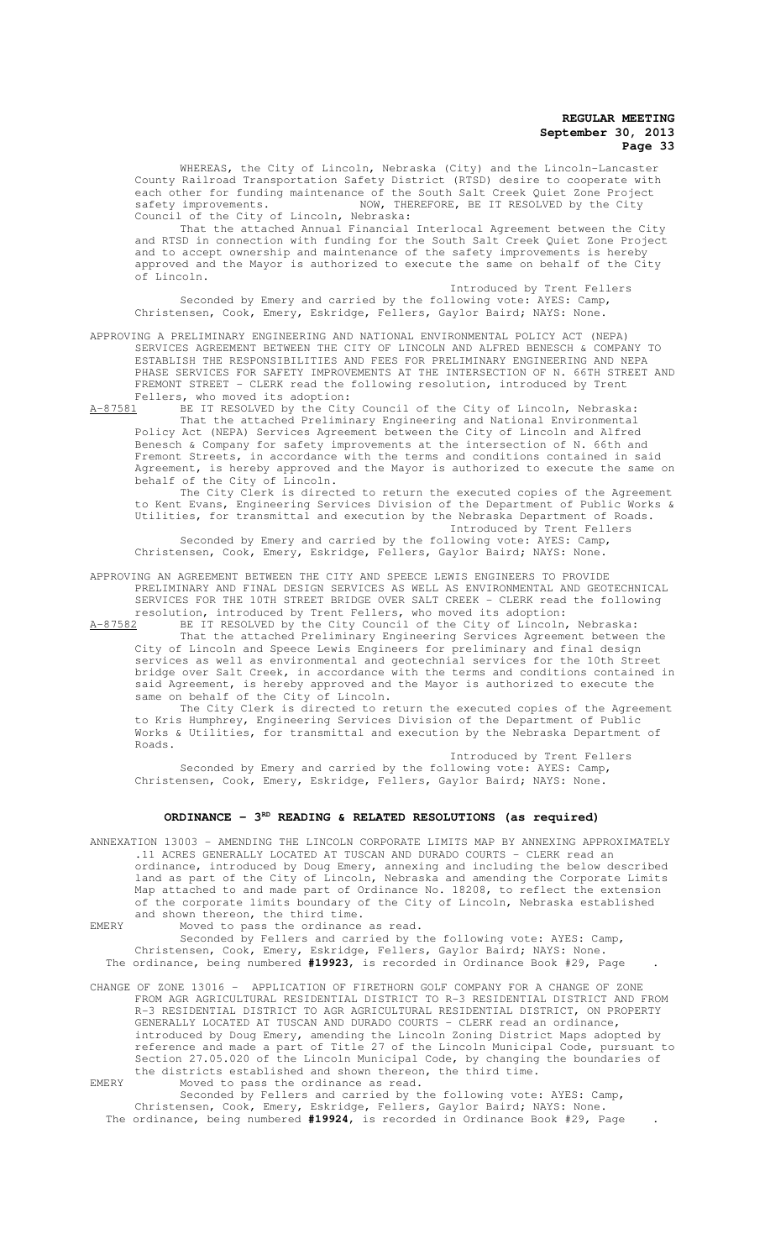WHEREAS, the City of Lincoln, Nebraska (City) and the Lincoln-Lancaster County Railroad Transportation Safety District (RTSD) desire to cooperate with each other for funding maintenance of the South Salt Creek Quiet Zone Project safety improvements. NOW, THEREFORE, BE IT RESOLVED by the City Council of the City of Lincoln, Nebraska:

That the attached Annual Financial Interlocal Agreement between the City and RTSD in connection with funding for the South Salt Creek Quiet Zone Project and to accept ownership and maintenance of the safety improvements is hereby approved and the Mayor is authorized to execute the same on behalf of the City Lincoln.

Introduced by Trent Fellers Seconded by Emery and carried by the following vote: AYES: Camp, Christensen, Cook, Emery, Eskridge, Fellers, Gaylor Baird; NAYS: None.

APPROVING A PRELIMINARY ENGINEERING AND NATIONAL ENVIRONMENTAL POLICY ACT (NEPA) SERVICES AGREEMENT BETWEEN THE CITY OF LINCOLN AND ALFRED BENESCH & COMPANY TO ESTABLISH THE RESPONSIBILITIES AND FEES FOR PRELIMINARY ENGINEERING AND NEPA PHASE SERVICES FOR SAFETY IMPROVEMENTS AT THE INTERSECTION OF N. 66TH STREET AND FREMONT STREET - CLERK read the following resolution, introduced by Trent Fellers, who moved its adoption:

A-87581 BE IT RESOLVED by the City Council of the City of Lincoln, Nebraska: That the attached Preliminary Engineering and National Environmental Policy Act (NEPA) Services Agreement between the City of Lincoln and Alfred Benesch & Company for safety improvements at the intersection of N. 66th and Fremont Streets, in accordance with the terms and conditions contained in said Agreement, is hereby approved and the Mayor is authorized to execute the same on behalf of the City of Lincoln.

The City Clerk is directed to return the executed copies of the Agreement to Kent Evans, Engineering Services Division of the Department of Public Works & Utilities, for transmittal and execution by the Nebraska Department of Roads. Introduced by Trent Fellers

Seconded by Emery and carried by the following vote: AYES: Camp, Christensen, Cook, Emery, Eskridge, Fellers, Gaylor Baird; NAYS: None.

APPROVING AN AGREEMENT BETWEEN THE CITY AND SPEECE LEWIS ENGINEERS TO PROVIDE PRELIMINARY AND FINAL DESIGN SERVICES AS WELL AS ENVIRONMENTAL AND GEOTECHNICAL SERVICES FOR THE 10TH STREET BRIDGE OVER SALT CREEK - CLERK read the following resolution, introduced by Trent Fellers, who moved its adoption:

A-87582 BE IT RESOLVED by the City Council of the City of Lincoln, Nebraska: That the attached Preliminary Engineering Services Agreement between the City of Lincoln and Speece Lewis Engineers for preliminary and final design services as well as environmental and geotechnial services for the 10th Street bridge over Salt Creek, in accordance with the terms and conditions contained in said Agreement, is hereby approved and the Mayor is authorized to execute the same on behalf of the City of Lincoln.

The City Clerk is directed to return the executed copies of the Agreement to Kris Humphrey, Engineering Services Division of the Department of Public Works & Utilities, for transmittal and execution by the Nebraska Department of Roads.

Introduced by Trent Fellers Seconded by Emery and carried by the following vote: AYES: Camp, Christensen, Cook, Emery, Eskridge, Fellers, Gaylor Baird; NAYS: None.

# ORDINANCE - 3<sup>RD</sup> READING & RELATED RESOLUTIONS (as required)

ANNEXATION 13003 – AMENDING THE LINCOLN CORPORATE LIMITS MAP BY ANNEXING APPROXIMATELY .11 ACRES GENERALLY LOCATED AT TUSCAN AND DURADO COURTS - CLERK read an ordinance, introduced by Doug Emery, annexing and including the below described land as part of the City of Lincoln, Nebraska and amending the Corporate Limits Map attached to and made part of Ordinance No. 18208, to reflect the extension of the corporate limits boundary of the City of Lincoln, Nebraska established and shown thereon, the third time.

EMERY Moved to pass the ordinance as read.

Seconded by Fellers and carried by the following vote: AYES: Camp, Christensen, Cook, Emery, Eskridge, Fellers, Gaylor Baird; NAYS: None. The ordinance, being numbered **#19923**, is recorded in Ordinance Book #29, Page .

CHANGE OF ZONE 13016 – APPLICATION OF FIRETHORN GOLF COMPANY FOR A CHANGE OF ZONE FROM AGR AGRICULTURAL RESIDENTIAL DISTRICT TO R-3 RESIDENTIAL DISTRICT AND FROM R-3 RESIDENTIAL DISTRICT TO AGR AGRICULTURAL RESIDENTIAL DISTRICT, ON PROPERTY GENERALLY LOCATED AT TUSCAN AND DURADO COURTS - CLERK read an ordinance, introduced by Doug Emery, amending the Lincoln Zoning District Maps adopted by reference and made a part of Title 27 of the Lincoln Municipal Code, pursuant to Section 27.05.020 of the Lincoln Municipal Code, by changing the boundaries of the districts established and shown thereon, the third time. EMERY Moved to pass the ordinance as read.

Seconded by Fellers and carried by the following vote: AYES: Camp, Christensen, Cook, Emery, Eskridge, Fellers, Gaylor Baird; NAYS: None. The ordinance, being numbered **#19924**, is recorded in Ordinance Book #29, Page .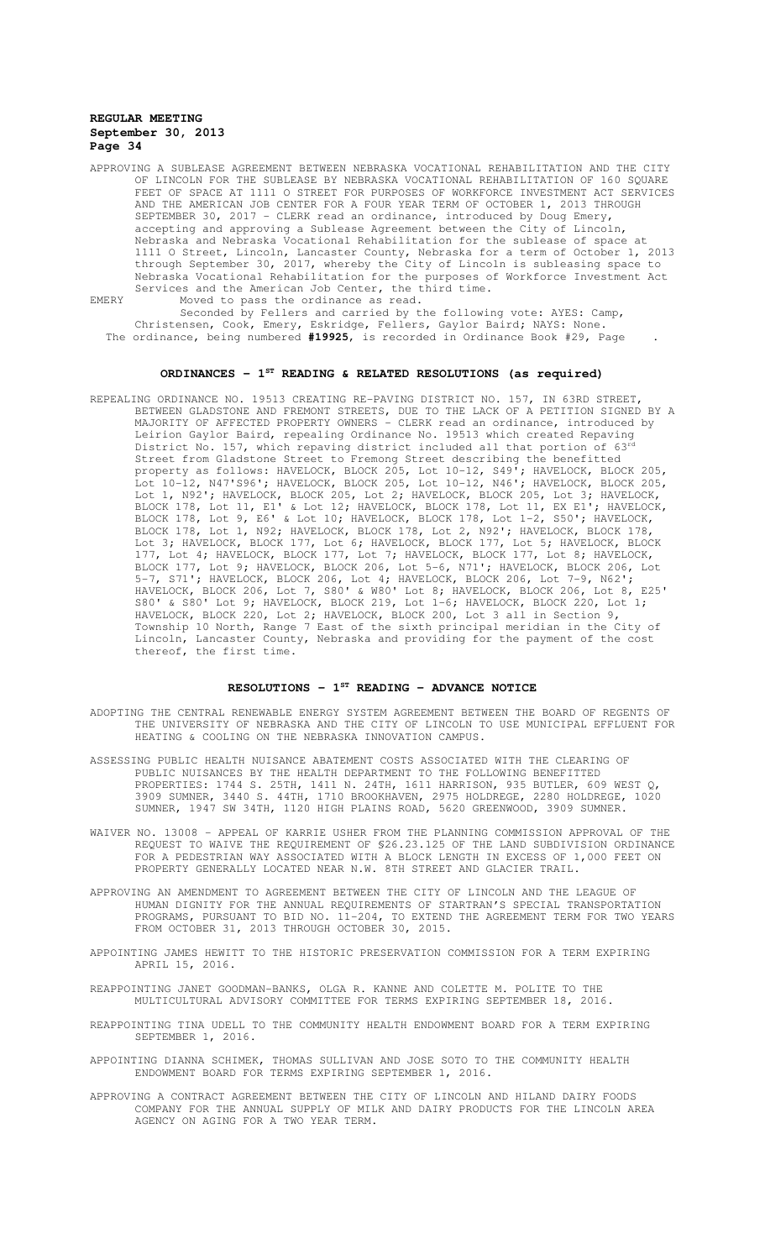APPROVING A SUBLEASE AGREEMENT BETWEEN NEBRASKA VOCATIONAL REHABILITATION AND THE CITY OF LINCOLN FOR THE SUBLEASE BY NEBRASKA VOCATIONAL REHABILITATION OF 160 SQUARE FEET OF SPACE AT 1111 O STREET FOR PURPOSES OF WORKFORCE INVESTMENT ACT SERVICES AND THE AMERICAN JOB CENTER FOR A FOUR YEAR TERM OF OCTOBER 1, 2013 THROUGH SEPTEMBER 30, 2017 - CLERK read an ordinance, introduced by Doug Emery, accepting and approving a Sublease Agreement between the City of Lincoln, Nebraska and Nebraska Vocational Rehabilitation for the sublease of space at 1111 O Street, Lincoln, Lancaster County, Nebraska for a term of October 1, 2013 through September 30, 2017, whereby the City of Lincoln is subleasing space to Nebraska Vocational Rehabilitation for the purposes of Workforce Investment Act Services and the American Job Center, the third time. EMERY Moved to pass the ordinance as read.

Seconded by Fellers and carried by the following vote: AYES: Camp, Christensen, Cook, Emery, Eskridge, Fellers, Gaylor Baird; NAYS: None. The ordinance, being numbered **#19925**, is recorded in Ordinance Book #29, Page .

# **ORDINANCES - 1ST READING & RELATED RESOLUTIONS (as required)**

REPEALING ORDINANCE NO. 19513 CREATING RE-PAVING DISTRICT NO. 157, IN 63RD STREET, BETWEEN GLADSTONE AND FREMONT STREETS, DUE TO THE LACK OF A PETITION SIGNED BY A MAJORITY OF AFFECTED PROPERTY OWNERS - CLERK read an ordinance, introduced by Leirion Gaylor Baird, repealing Ordinance No. 19513 which created Repaving District No. 157, which repaving district included all that portion of 63<sup>rd</sup> Street from Gladstone Street to Fremong Street describing the benefitted property as follows: HAVELOCK, BLOCK 205, Lot 10-12, S49'; HAVELOCK, BLOCK 205, Lot 10-12, N47'S96'; HAVELOCK, BLOCK 205, Lot 10-12, N46'; HAVELOCK, BLOCK 205, Lot 1, N92'; HAVELOCK, BLOCK 205, Lot 2; HAVELOCK, BLOCK 205, Lot 3; HAVELOCK, BLOCK 178, Lot 11, E1' & Lot 12; HAVELOCK, BLOCK 178, Lot 11, EX E1'; HAVELOCK, BLOCK 178, Lot 9, E6' & Lot 10; HAVELOCK, BLOCK 178, Lot 1-2, S50'; HAVELOCK, BLOCK 178, Lot 1, N92; HAVELOCK, BLOCK 178, Lot 2, N92'; HAVELOCK, BLOCK 178, Lot 3; HAVELOCK, BLOCK 177, Lot 6; HAVELOCK, BLOCK 177, Lot 5; HAVELOCK, BLOCK 177, Lot 4; HAVELOCK, BLOCK 177, Lot 7; HAVELOCK, BLOCK 177, Lot 8; HAVELOCK, BLOCK 177, Lot 9; HAVELOCK, BLOCK 206, Lot 5-6, N71'; HAVELOCK, BLOCK 206, Lot 5-7, S71'; HAVELOCK, BLOCK 206, Lot 4; HAVELOCK, BLOCK 206, Lot 7-9, N62'; HAVELOCK, BLOCK 206, Lot 7, S80' & W80' Lot 8; HAVELOCK, BLOCK 206, Lot 8, E25' S80' & S80' Lot 9; HAVELOCK, BLOCK 219, Lot 1-6; HAVELOCK, BLOCK 220, Lot 1; HAVELOCK, BLOCK 220, Lot 2; HAVELOCK, BLOCK 200, Lot 3 all in Section 9, Township 10 North, Range 7 East of the sixth principal meridian in the City of Lincoln, Lancaster County, Nebraska and providing for the payment of the cost thereof, the first time.

# **RESOLUTIONS - 1ST READING - ADVANCE NOTICE**

- ADOPTING THE CENTRAL RENEWABLE ENERGY SYSTEM AGREEMENT BETWEEN THE BOARD OF REGENTS OF THE UNIVERSITY OF NEBRASKA AND THE CITY OF LINCOLN TO USE MUNICIPAL EFFLUENT FOR HEATING & COOLING ON THE NEBRASKA INNOVATION CAMPUS.
- ASSESSING PUBLIC HEALTH NUISANCE ABATEMENT COSTS ASSOCIATED WITH THE CLEARING OF PUBLIC NUISANCES BY THE HEALTH DEPARTMENT TO THE FOLLOWING BENEFITTED PROPERTIES: 1744 S. 25TH, 1411 N. 24TH, 1611 HARRISON, 935 BUTLER, 609 WEST Q, 3909 SUMNER, 3440 S. 44TH, 1710 BROOKHAVEN, 2975 HOLDREGE, 2280 HOLDREGE, 1020 SUMNER, 1947 SW 34TH, 1120 HIGH PLAINS ROAD, 5620 GREENWOOD, 3909 SUMNER.
- WAIVER NO. 13008 APPEAL OF KARRIE USHER FROM THE PLANNING COMMISSION APPROVAL OF THE REQUEST TO WAIVE THE REQUIREMENT OF §26.23.125 OF THE LAND SUBDIVISION ORDINANCE FOR A PEDESTRIAN WAY ASSOCIATED WITH A BLOCK LENGTH IN EXCESS OF 1,000 FEET ON PROPERTY GENERALLY LOCATED NEAR N.W. 8TH STREET AND GLACIER TRAIL.
- APPROVING AN AMENDMENT TO AGREEMENT BETWEEN THE CITY OF LINCOLN AND THE LEAGUE OF HUMAN DIGNITY FOR THE ANNUAL REQUIREMENTS OF STARTRAN'S SPECIAL TRANSPORTATION PROGRAMS, PURSUANT TO BID NO. 11-204, TO EXTEND THE AGREEMENT TERM FOR TWO YEARS FROM OCTOBER 31, 2013 THROUGH OCTOBER 30, 2015.
- APPOINTING JAMES HEWITT TO THE HISTORIC PRESERVATION COMMISSION FOR A TERM EXPIRING APRIL 15, 2016.
- REAPPOINTING JANET GOODMAN-BANKS, OLGA R. KANNE AND COLETTE M. POLITE TO THE MULTICULTURAL ADVISORY COMMITTEE FOR TERMS EXPIRING SEPTEMBER 18, 2016.
- REAPPOINTING TINA UDELL TO THE COMMUNITY HEALTH ENDOWMENT BOARD FOR A TERM EXPIRING SEPTEMBER 1, 2016.
- APPOINTING DIANNA SCHIMEK, THOMAS SULLIVAN AND JOSE SOTO TO THE COMMUNITY HEALTH ENDOWMENT BOARD FOR TERMS EXPIRING SEPTEMBER 1, 2016.
- APPROVING A CONTRACT AGREEMENT BETWEEN THE CITY OF LINCOLN AND HILAND DAIRY FOODS COMPANY FOR THE ANNUAL SUPPLY OF MILK AND DAIRY PRODUCTS FOR THE LINCOLN AREA AGENCY ON AGING FOR A TWO YEAR TERM.